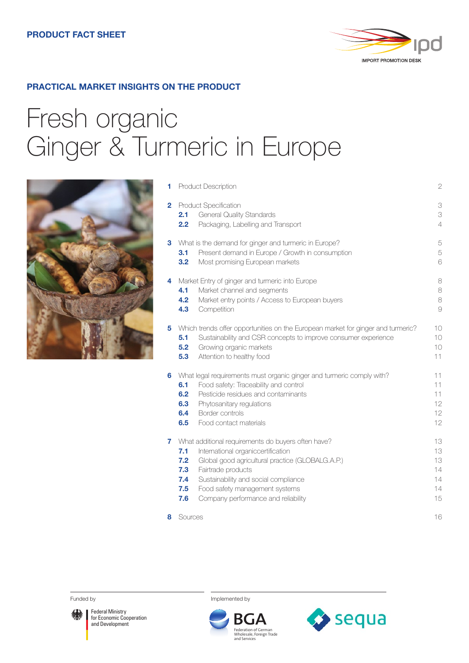

## **PRACTICAL MARKET INSIGHTS ON THE PRODUCT**

# Fresh organic Ginger & Turmeric in Europe



| 1              | Product Description                                                                                                                                                                                                                                                                                                           |                                        |  |
|----------------|-------------------------------------------------------------------------------------------------------------------------------------------------------------------------------------------------------------------------------------------------------------------------------------------------------------------------------|----------------------------------------|--|
| $\overline{2}$ | Product Specification<br><b>General Quality Standards</b><br>2.1<br>2.2<br>Packaging, Labelling and Transport                                                                                                                                                                                                                 | 3<br>3<br>$\overline{4}$               |  |
| 3              | What is the demand for ginger and turmeric in Europe?<br>Present demand in Europe / Growth in consumption<br>3.1<br>Most promising European markets<br>3.2                                                                                                                                                                    | 5<br>5<br>6                            |  |
| 4              | Market Entry of ginger and turmeric into Europe<br>Market channel and segments<br>4.1<br>4.2<br>Market entry points / Access to European buyers<br>4.3<br>Competition                                                                                                                                                         | 8<br>8<br>8<br>$\Theta$                |  |
| 5              | Which trends offer opportunities on the European market for ginger and turmeric?<br>5.1<br>Sustainability and CSR concepts to improve consumer experience<br>Growing organic markets<br>5.2<br>5.3<br>Attention to healthy food                                                                                               | 10<br>10<br>10<br>11                   |  |
| 6              | What legal requirements must organic ginger and turmeric comply with?<br>Food safety: Traceability and control<br>6.1<br>Pesticide residues and contaminants<br>6.2<br>6.3<br>Phytosanitary regulations<br>6.4<br>Border controls<br>6.5<br>Food contact materials                                                            | 11<br>11<br>11<br>12<br>12<br>12       |  |
| 7              | What additional requirements do buyers often have?<br>7.1<br>International organiccertification<br>7.2<br>Global good agricultural practice (GLOBALG.A.P.)<br>7.3<br>Fairtrade products<br>Sustainability and social compliance<br>7.4<br>7.5<br>Food safety management systems<br>7.6<br>Company performance and reliability | 13<br>13<br>13<br>14<br>14<br>14<br>15 |  |
| 8              | Sources                                                                                                                                                                                                                                                                                                                       | 16                                     |  |



Federal Ministry for Economic Cooperation and Development

Funded by **Implemented** by



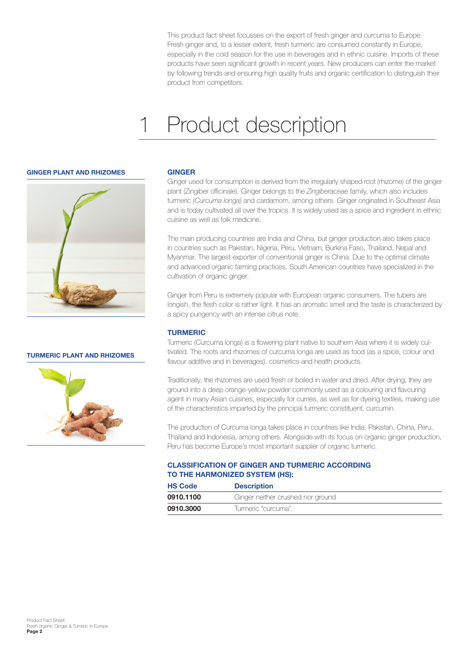<span id="page-1-0"></span>This product fact sheet focusses on the export of fresh ginger and curcuma to Europe. Fresh ginger and, to a lesser extent, fresh turmeric are consumed constantly in Europe, especially in the cold season for the use in beverages and in ethnic cuisine. Imports of these products have seen significant growth in recent years. New producers can enter the market by following trends and ensuring high quality fruits and organic certification to distinguish their product from competitors.

## Product description 1



**TURMERIC PLANT AND RHIZOMES** 



### **GINGER**

Ginger used for consumption is derived from the irregularly shaped root (rhizome) of the ginger plant (Zingiber officinale). Ginger belongs to the *Zingiberaceae* family, which also includes turmeric *(Curcuma longa)* and cardamom, among others. Ginger originated in Southeast Asia and is today cultivated all over the tropics. It is widely used as a spice and ingredient in ethnic cuisine as well as folk medicine.

The main producing countries are India and China, but ginger production also takes place in countries such as Pakistan, Nigeria, Peru, Vietnam, Burkina Faso, Thailand, Nepal and Myanmar. The largest exporter of conventional ginger is China. Due to the optimal climate and advanced organic farming practices, South American countries have specialized in the cultivation of organic ginger.

Ginger from Peru is extremely popular with European organic consumers. The tubers are longish, the flesh color is rather light. It has an aromatic smell and the taste is characterized by a spicy pungency with an intense citrus note.

## **TURMERIC**

Turmeric (Curcuma longa) is a flowering plant native to southern Asia where it is widely cultivated. The roots and rhizomes of curcuma longa are used as food (as a spice, colour and flavour additive and in beverages), cosmetics and health products.

Traditionally, the rhizomes are used fresh or boiled in water and dried. After drying, they are ground into a deep orange-yellow powder commonly used as a colouring and flavouring agent in many Asian cuisines, especially for curries, as well as for dyeing textiles, making use of the characteristics imparted by the principal turmeric constituent, curcumin.

The production of Curcuma longa takes place in countries like India, Pakistan, China, Peru, Thailand and Indonesia, among others. Alongside with its focus on organic ginger production, Peru has become Europe's most important supplier of organic turmeric.

## **CLASSIFICATION OF GINGER AND TURMERIC ACCORDING TO THE HARMONIZED SYSTEM (HS):**

| <b>HS Code</b> | <b>Description</b>                |  |
|----------------|-----------------------------------|--|
| 0910.1100      | Ginger neither crushed nor ground |  |
| 0910.3000      | Turmeric "curcuma".               |  |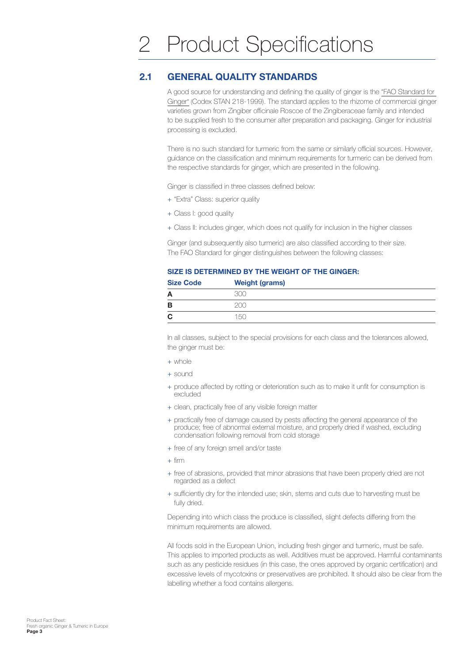#### <span id="page-2-0"></span>**GENERAL QUALITY STANDARDS 2.1**

A good source for understanding and defining the quality of ginger is the ["FAO Standard for](https://www.fao.org/input/download/standards/344/CXS_218e.pdf)  [Ginger"](https://www.fao.org/input/download/standards/344/CXS_218e.pdf) (Codex STAN 218-1999). The standard applies to the rhizome of commercial ginger varieties grown from Zingiber officinale Roscoe of the Zingiberaceae family and intended to be supplied fresh to the consumer after preparation and packaging. Ginger for industrial processing is excluded.

There is no such standard for turmeric from the same or similarly official sources. However, guidance on the classification and minimum requirements for turmeric can be derived from the respective standards for ginger, which are presented in the following.

Ginger is classified in three classes defined below:

- + "Extra" Class: superior quality
- + Class I: good quality
- + Class II: includes ginger, which does not qualify for inclusion in the higher classes

Ginger (and subsequently also turmeric) are also classified according to their size. The FAO Standard for ginger distinguishes between the following classes:

| SIZE IS DETERMINED BY THE WEIGHT OF THE GINGER: |  |  |
|-------------------------------------------------|--|--|
|-------------------------------------------------|--|--|

| <b>Size Code</b> | <b>Weight (grams)</b> |
|------------------|-----------------------|
| А                |                       |
| в                | ∩∩                    |
| C                | 150                   |

In all classes, subject to the special provisions for each class and the tolerances allowed, the ginger must be:

- $+$  whole
- + sound
- + produce affected by rotting or deterioration such as to make it unfit for consumption is excluded
- + clean, practically free of any visible foreign matter
- + practically free of damage caused by pests affecting the general appearance of the produce; free of abnormal external moisture, and properly dried if washed, excluding condensation following removal from cold storage
- + free of any foreign smell and/or taste
- $+$  firm
- + free of abrasions, provided that minor abrasions that have been properly dried are not regarded as a defect
- + sufficiently dry for the intended use; skin, stems and cuts due to harvesting must be fully dried.

Depending into which class the produce is classified, slight defects differing from the minimum requirements are allowed.

All foods sold in the European Union, including fresh ginger and turmeric, must be safe. This applies to imported products as well. Additives must be approved. Harmful contaminants such as any pesticide residues (in this case, the ones approved by organic certification) and excessive levels of mycotoxins or preservatives are prohibited. It should also be clear from the labelling whether a food contains allergens.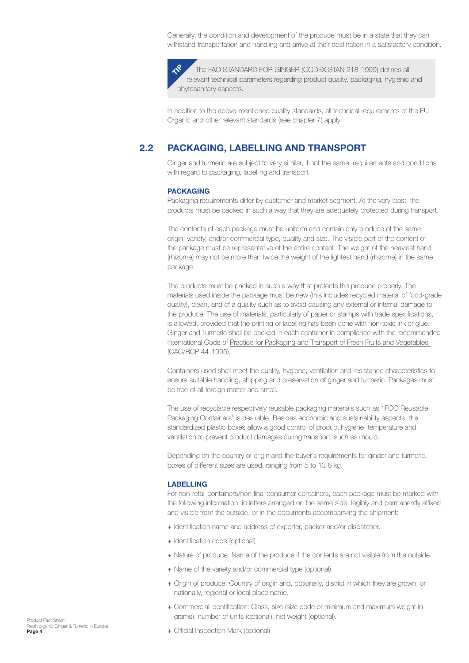<span id="page-3-0"></span>Generally, the condition and development of the produce must be in a state that they can withstand transportation and handling and arrive at their destination in a satisfactory condition.

The [FAO STANDARD FOR GINGER \(CODEX STAN 218-1999\)](https://www.fao.org/fao-who-codexalimentarius/sh-proxy/es/?lnk=1&url=https%253A%252F%252Fworkspace.fao.org%252Fsites%252Fcodex%252FStandards%252FCXS%2B218-1999%252FCXS_218e.pdf) defines all relevant technical parameters regarding product quality, packaging, hygienic and phytosanitary aspects.  $\mathcal{R}$ 

In addition to the above-mentioned quality standards, all technical requirements of the EU Organic and other relevant standards (see chapter 7) apply.

#### **PACKAGING, LABELLING AND TRANSPORT 2.2**

Ginger and turmeric are subject to very similar, if not the same, requirements and conditions with regard to packaging, labelling and transport.

### **PACKAGING**

Packaging requirements differ by customer and market segment. At the very least, the products must be packed in such a way that they are adequately protected during transport.

The contents of each package must be uniform and contain only produce of the same origin, variety, and/or commercial type, quality and size. The visible part of the content of the package must be representative of the entire content. The weight of the heaviest hand (rhizome) may not be more than twice the weight of the lightest hand (rhizome) in the same package.

The products must be packed in such a way that protects the produce properly. The materials used inside the package must be new (this includes recycled material of food-grade quality), clean, and of a quality such as to avoid causing any external or internal damage to the produce. The use of materials, particularly of paper or stamps with trade specifications, is allowed, provided that the printing or labelling has been done with non-toxic ink or glue. Ginger and Turmeric shall be packed in each container in compliance with the recommended International Code of [Practice for Packaging and Transport of Fresh Fruits and Vegetables](https://www.fao.org/ag/agn/cdfruits_en/others/docs/cac-rcp44-1995.pdf)  [\(CAC/RCP 44-1995\)](https://www.fao.org/ag/agn/cdfruits_en/others/docs/cac-rcp44-1995.pdf).

Containers used shall meet the quality, hygiene, ventilation and resistance characteristics to ensure suitable handling, shipping and preservation of ginger and turmeric. Packages must be free of all foreign matter and smell.

The use of recyclable respectively reusable packaging materials such as "IFCO Reusable Packaging Containers" is desirable. Besides economic and sustainability aspects, the standardized plastic boxes allow a good control of product hygiene, temperature and ventilation to prevent product damages during transport, such as mould.

Depending on the country of origin and the buyer's requirements for ginger and turmeric, boxes of different sizes are used, ranging from 5 to 13.6 kg.

### **LABELLING**

For non-retail containers/non final consumer containers, each package must be marked with the following information, in letters arranged on the same side, legibly and permanently affixed and visible from the outside, or in the documents accompanying the shipment:

- + Identification name and address of exporter, packer and/or dispatcher.
- + Identification code (optional)
- + Nature of produce: Name of the produce if the contents are not visible from the outside.
- + Name of the variety and/or commercial type (optional).
- + Origin of produce: Country of origin and, optionally, district in which they are grown, or nationally, regional or local place name.
- + Commercial identification: Class, size (size code or minimum and maximum weight in grams), number of units (optional), net weight (optional).
- Product Fact Sheet: Fresh organic Ginger & Tumeric in Europe **Page 4**
- + Official Inspection Mark (optional)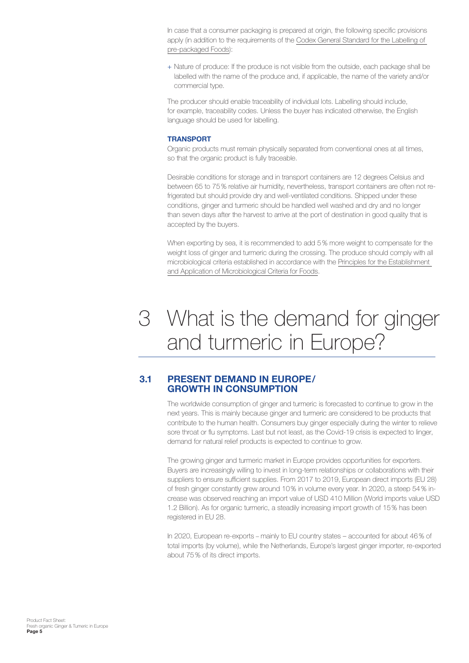<span id="page-4-0"></span>In case that a consumer packaging is prepared at origin, the following specific provisions apply (in addition to the requirements of the Codex General Standard for the Labelling of [pre-packaged Foods](https://www.fao.org/fao-who-codexalimentarius/sh-proxy/es/?lnk=1&url=https%253A%252F%252Fworkspace.fao.org%252Fsites%252Fcodex%252FStandards%252FCXS%2B1-1985%252FCXS_001e.pdf)):

+ Nature of produce: If the produce is not visible from the outside, each package shall be labelled with the name of the produce and, if applicable, the name of the variety and/or commercial type.

The producer should enable traceability of individual lots. Labelling should include, for example, traceability codes. Unless the buyer has indicated otherwise, the English language should be used for labelling.

### **TRANSPORT**

Organic products must remain physically separated from conventional ones at all times, so that the organic product is fully traceable.

Desirable conditions for storage and in transport containers are 12 degrees Celsius and between 65 to 75% relative air humidity, nevertheless, transport containers are often not refrigerated but should provide dry and well-ventilated conditions. Shipped under these conditions, ginger and turmeric should be handled well washed and dry and no longer than seven days after the harvest to arrive at the port of destination in good quality that is accepted by the buyers.

When exporting by sea, it is recommended to add 5% more weight to compensate for the weight loss of ginger and turmeric during the crossing. The produce should comply with all microbiological criteria established in accordance with the [Principles for the Establishment](https://www.ibfan.org/wp-content/uploads/2019/05/PRINCIPLES-AND-GUIDELINES-FOR-THE-ESTABLISHMENT-AND-APPLICATION-OF-MICROBIOLOGICAL-CRITERIA-RELATED-TO-FOODS.pdf)  [and Application of Microbiological Criteria for Foods.](https://www.ibfan.org/wp-content/uploads/2019/05/PRINCIPLES-AND-GUIDELINES-FOR-THE-ESTABLISHMENT-AND-APPLICATION-OF-MICROBIOLOGICAL-CRITERIA-RELATED-TO-FOODS.pdf)

## What is the demand for ginger 3 and turmeric in Europe?

#### **PRESENT DEMAND IN EUROPE / GROWTH IN CONSUMPTION 3.1**

The worldwide consumption of ginger and turmeric is forecasted to continue to grow in the next years. This is mainly because ginger and turmeric are considered to be products that contribute to the human health. Consumers buy ginger especially during the winter to relieve sore throat or flu symptoms. Last but not least, as the Covid-19 crisis is expected to linger, demand for natural relief products is expected to continue to grow.

The growing ginger and turmeric market in Europe provides opportunities for exporters. Buyers are increasingly willing to invest in long-term relationships or collaborations with their suppliers to ensure sufficient supplies. From 2017 to 2019, European direct imports (EU 28) of fresh ginger constantly grew around 10% in volume every year. In 2020, a steep 54% increase was observed reaching an import value of USD 410 Million (World imports value USD 1.2 Billion). As for organic turmeric, a steadily increasing import growth of 15% has been registered in EU 28.

In 2020, European re-exports – mainly to EU country states – accounted for about 46% of total imports (by volume), while the Netherlands, Europe's largest ginger importer, re-exported about 75% of its direct imports.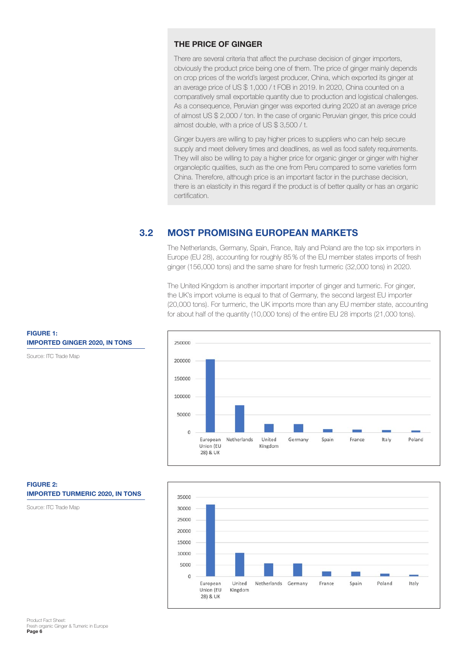## <span id="page-5-0"></span>**THE PRICE OF GINGER**

There are several criteria that affect the purchase decision of ginger importers, obviously the product price being one of them. The price of ginger mainly depends on crop prices of the world's largest producer, China, which exported its ginger at an average price of US \$ 1,000 / t FOB in 2019. In 2020, China counted on a comparatively small exportable quantity due to production and logistical challenges. As a consequence, Peruvian ginger was exported during 2020 at an average price of almost US \$ 2,000 / ton. In the case of organic Peruvian ginger, this price could almost double, with a price of US \$ 3,500 / t.

Ginger buyers are willing to pay higher prices to suppliers who can help secure supply and meet delivery times and deadlines, as well as food safety requirements. They will also be willing to pay a higher price for organic ginger or ginger with higher organoleptic qualities, such as the one from Peru compared to some varieties form China. Therefore, although price is an important factor in the purchase decision, there is an elasticity in this regard if the product is of better quality or has an organic certification.

#### **MOST PROMISING EUROPEAN MARKETS 3.2**

The Netherlands, Germany, Spain, France, Italy and Poland are the top six importers in Europe (EU 28), accounting for roughly 85% of the EU member states imports of fresh ginger (156,000 tons) and the same share for fresh turmeric (32,000 tons) in 2020.

The United Kingdom is another important importer of ginger and turmeric. For ginger, the UK's import volume is equal to that of Germany, the second largest EU importer (20,000 tons). For turmeric, the UK imports more than any EU member state, accounting for about half of the quantity (10,000 tons) of the entire EU 28 imports (21,000 tons).





**FIGURE 1: IMPORTED GINGER 2020, IN TONS** 

Source: ITC Trade Map

**FIGURE 2: IMPORTED TURMERIC 2020, IN TONS** 

Source: ITC Trade Map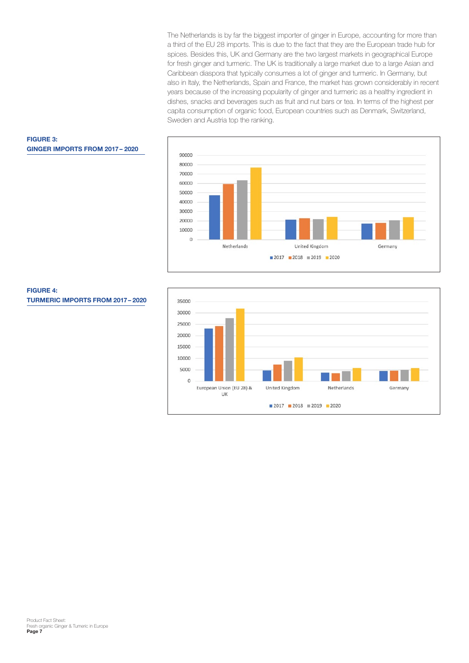The Netherlands is by far the biggest importer of ginger in Europe, accounting for more than a third of the EU 28 imports. This is due to the fact that they are the European trade hub for spices. Besides this, UK and Germany are the two largest markets in geographical Europe for fresh ginger and turmeric. The UK is traditionally a large market due to a large Asian and Caribbean diaspora that typically consumes a lot of ginger and turmeric. In Germany, but also in Italy, the Netherlands, Spain and France, the market has grown considerably in recent years because of the increasing popularity of ginger and turmeric as a healthy ingredient in dishes, snacks and beverages such as fruit and nut bars or tea. In terms of the highest per capita consumption of organic food, European countries such as Denmark, Switzerland, Sweden and Austria top the ranking.



<span id="page-6-0"></span>



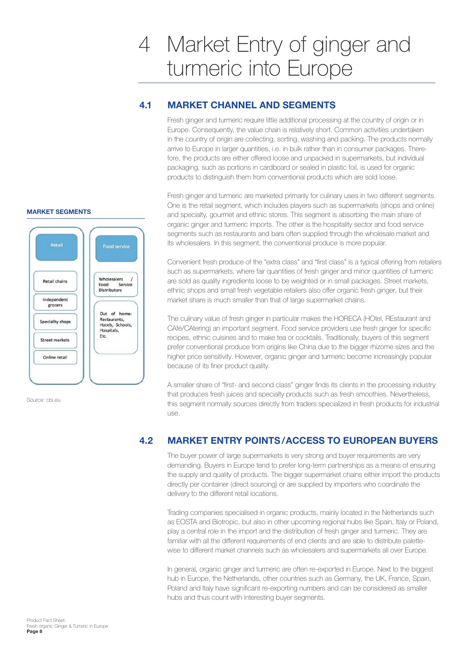# <span id="page-7-0"></span>Market Entry of ginger and 4 turmeric into Europe

#### **MARKET CHANNEL AND SEGMENTS 4.1**

Fresh ginger and turmeric require little additional processing at the country of origin or in Europe. Consequently, the value chain is relatively short. Common activities undertaken in the country of origin are collecting, sorting, washing and packing. The products normally arrive to Europe in larger quantities, i.e. in bulk rather than in consumer packages. Therefore, the products are either offered loose and unpacked in supermarkets, but individual packaging, such as portions in cardboard or sealed in plastic foil, is used for organic products to distinguish them from conventional products which are sold loose.

Fresh ginger and turmeric are marketed primarily for culinary uses in two different segments. One is the retail segment, which includes players such as supermarkets (shops and online) and specialty, gourmet and ethnic stores. This segment is absorbing the main share of organic ginger and turmeric imports. The other is the hospitality sector and food service segments such as restaurants and bars often supplied through the wholesale market and its wholesalers. In this segment, the conventional produce is more popular.

Convenient fresh produce of the "extra class" and "first class" is a typical offering from retailers such as supermarkets, where fair quantities of fresh ginger and minor quantities of turmeric are sold as quality ingredients loose to be weighted or in small packages. Street markets, ethnic shops and small fresh vegetable retailers also offer organic fresh ginger, but their market share is much smaller than that of large supermarket chains.

The culinary value of fresh ginger in particular makes the HORECA (HOtel, REstaurant and CAfé/CAtering) an important segment. Food service providers use fresh ginger for specific recipes, ethnic cuisines and to make tea or cocktails. Traditionally, buyers of this segment prefer conventional produce from origins like China due to the bigger rhizome sizes and the higher price sensitivity. However, organic ginger and turmeric become increasingly popular because of its finer product quality.

A smaller share of "first- and second class" ginger finds its clients in the processing industry that produces fresh juices and specialty products such as fresh smoothies. Nevertheless, this segment normally sources directly from traders specialized in fresh products for industrial use.

#### **MARKET ENTRY POINTS / ACCESS TO EUROPEAN BUYERS 4.2**

The buyer power of large supermarkets is very strong and buyer requirements are very demanding. Buyers in Europe tend to prefer long-term partnerships as a means of ensuring the supply and quality of products. The bigger supermarket chains either import the products directly per container (direct sourcing) or are supplied by importers who coordinate the delivery to the different retail locations.

Trading companies specialised in organic products, mainly located in the Netherlands such as EOSTA and Biotropic, but also in other upcoming regional hubs like Spain, Italy or Poland, play a central role in the import and the distribution of fresh ginger and turmeric. They are familiar with all the different requirements of end clients and are able to distribute palettewise to different market channels such as wholesalers and supermarkets all over Europe.

In general, organic ginger and turmeric are often re-exported in Europe. Next to the biggest hub in Europe, the Netherlands, other countries such as Germany, the UK, France, Spain, Poland and Italy have significant re-exporting numbers and can be considered as smaller hubs and thus count with interesting buyer segments.

## **MARKET SEGMENTS**



Source: cbi.eu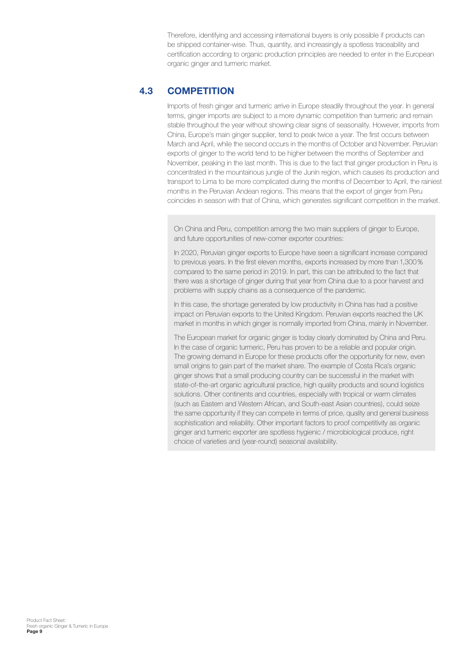Therefore, identifying and accessing international buyers is only possible if products can be shipped container-wise. Thus, quantity, and increasingly a spotless traceability and certification according to organic production principles are needed to enter in the European organic ginger and turmeric market.

#### **COMPETITION 4.3**

Imports of fresh ginger and turmeric arrive in Europe steadily throughout the year. In general terms, ginger imports are subject to a more dynamic competition than turmeric and remain stable throughout the year without showing clear signs of seasonality. However, imports from China, Europe's main ginger supplier, tend to peak twice a year. The first occurs between March and April, while the second occurs in the months of October and November. Peruvian exports of ginger to the world tend to be higher between the months of September and November, peaking in the last month. This is due to the fact that ginger production in Peru is concentrated in the mountainous jungle of the Junín region, which causes its production and transport to Lima to be more complicated during the months of December to April, the rainiest months in the Peruvian Andean regions. This means that the export of ginger from Peru coincides in season with that of China, which generates significant competition in the market.

On China and Peru, competition among the two main suppliers of ginger to Europe, and future opportunities of new-comer exporter countries:

In 2020, Peruvian ginger exports to Europe have seen a significant increase compared to previous years. In the first eleven months, exports increased by more than 1,300% compared to the same period in 2019. In part, this can be attributed to the fact that there was a shortage of ginger during that year from China due to a poor harvest and problems with supply chains as a consequence of the pandemic.

In this case, the shortage generated by low productivity in China has had a positive impact on Peruvian exports to the United Kingdom. Peruvian exports reached the UK market in months in which ginger is normally imported from China, mainly in November.

The European market for organic ginger is today clearly dominated by China and Peru. In the case of organic turmeric, Peru has proven to be a reliable and popular origin. The growing demand in Europe for these products offer the opportunity for new, even small origins to gain part of the market share. The example of Costa Rica's organic ginger shows that a small producing country can be successful in the market with state-of-the-art organic agricultural practice, high quality products and sound logistics solutions. Other continents and countries, especially with tropical or warm climates (such as Eastern and Western African, and South-east Asian countries), could seize the same opportunity if they can compete in terms of price, quality and general business sophistication and reliability. Other important factors to proof competitivity as organic ginger and turmeric exporter are spotless hygienic / microbiological produce, right choice of varieties and (year-round) seasonal availability.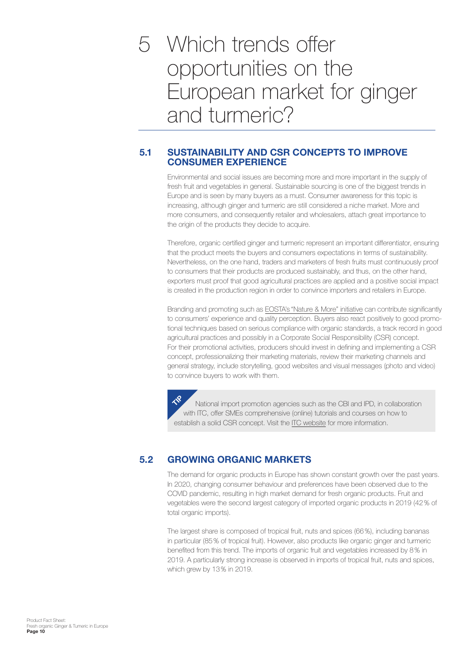<span id="page-9-0"></span>Which trends offer 5 opportunities on the European market for ginger and turmeric?

#### **SUSTAINABILITY AND CSR CONCEPTS TO IMPROVE CONSUMER EXPERIENCE 5.1**

Environmental and social issues are becoming more and more important in the supply of fresh fruit and vegetables in general. Sustainable sourcing is one of the biggest trends in Europe and is seen by many buyers as a must. Consumer awareness for this topic is increasing, although ginger and turmeric are still considered a niche market. More and more consumers, and consequently retailer and wholesalers, attach great importance to the origin of the products they decide to acquire.

Therefore, organic certified ginger and turmeric represent an important differentiator, ensuring that the product meets the buyers and consumers expectations in terms of sustainability. Nevertheless, on the one hand, traders and marketers of fresh fruits must continuously proof to consumers that their products are produced sustainably, and thus, on the other hand, exporters must proof that good agricultural practices are applied and a positive social impact is created in the production region in order to convince importers and retailers in Europe.

Branding and promoting such as EOSTA's ["Nature & More" initiative](https://www.natureandmore.com/en) can contribute significantly to consumers' experience and quality perception. Buyers also react positively to good promotional techniques based on serious compliance with organic standards, a track record in good agricultural practices and possibly in a Corporate Social Responsibility (CSR) concept. For their promotional activities, producers should invest in defining and implementing a CSR concept, professionalizing their marketing materials, review their marketing channels and general strategy, include storytelling, good websites and visual messages (photo and video) to convince buyers to work with them.

National import promotion agencies such as the CBI and IPD, in collaboration with ITC, offer SMEs comprehensive (online) tutorials and courses on how to establish a solid CSR concept. Visit the [ITC website](https://learning.intracen.org/course/info.php?id=244) for more information.  $\mathcal{R}$ 

#### **GROWING ORGANIC MARKETS 5.2**

The demand for organic products in Europe has shown constant growth over the past years. In 2020, changing consumer behaviour and preferences have been observed due to the COVID pandemic, resulting in high market demand for fresh organic products. Fruit and vegetables were the second largest category of imported organic products in 2019 (42% of total organic imports).

The largest share is composed of tropical fruit, nuts and spices (66%), including bananas in particular (85% of tropical fruit). However, also products like organic ginger and turmeric benefited from this trend. The imports of organic fruit and vegetables increased by 8% in 2019. A particularly strong increase is observed in imports of tropical fruit, nuts and spices, which grew by 13% in 2019.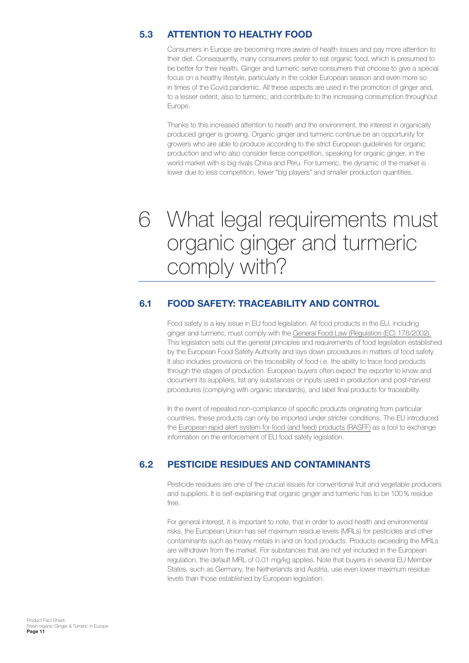#### <span id="page-10-0"></span>**ATTENTION TO HEALTHY FOOD 5.3**

Consumers in Europe are becoming more aware of health issues and pay more attention to their diet. Consequently, many consumers prefer to eat organic food, which is presumed to be better for their health. Ginger and turmeric serve consumers that choose to give a special focus on a healthy lifestyle, particularly in the colder European season and even more so in times of the Covid pandemic. All these aspects are used in the promotion of ginger and, to a lesser extent, also to turmeric, and contribute to the increasing consumption throughout Europe.

Thanks to this increased attention to health and the environment, the interest in organically produced ginger is growing. Organic ginger and turmeric continue be an opportunity for growers who are able to produce according to the strict European guidelines for organic production and who also consider fierce competition, speaking for organic ginger, in the world market with is big rivals China and Peru. For turmeric, the dynamic of the market is lower due to less competition, fewer "big players" and smaller production quantities.

## What legal requirements must 6 organic ginger and turmeric comply with?

#### **FOOD SAFETY: TRACEABILITY AND CONTROL 6.1**

Food safety is a key issue in EU food legislation. All food products in the EU, including ginger and turmeric, must comply with the [General Food Law \(Regulation \(EC\) 178/2002\).](https://eur-lex.europa.eu/legal-content/EN/ALL/?uri=celex%3A32002R0178) This legislation sets out the general principles and requirements of food legislation established by the European Food Safety Authority and lays down procedures in matters of food safety. It also includes provisions on the traceability of food i.e. the ability to trace food products through the stages of production. European buyers often expect the exporter to know and document its suppliers, list any substances or inputs used in production and post-harvest procedures (complying with organic standards), and label final products for traceability.

In the event of repeated non-compliance of specific products originating from particular countries, these products can only be imported under stricter conditions. The EU introduced the [European rapid alert system for food \(and feed\) products \(RASFF\)](https://webgate.ec.europa.eu/rasff-window/screen/search) as a tool to exchange information on the enforcement of EU food safety legislation.

#### **PESTICIDE RESIDUES AND CONTAMINANTS 6.2**

Pesticide residues are one of the crucial issues for conventional fruit and vegetable producers and suppliers. It is self-explaining that organic ginger and turmeric has to be 100% residue free.

For general interest, it is important to note, that in order to avoid health and environmental risks, the European Union has set maximum residue levels (MRLs) for pesticides and other contaminants such as heavy metals in and on food products. Products exceeding the MRLs are withdrawn from the market. For substances that are not yet included in the European regulation, the default MRL of 0.01 mg/kg applies. Note that buyers in several EU Member States, such as Germany, the Netherlands and Austria, use even lower maximum residue levels than those established by European legislation.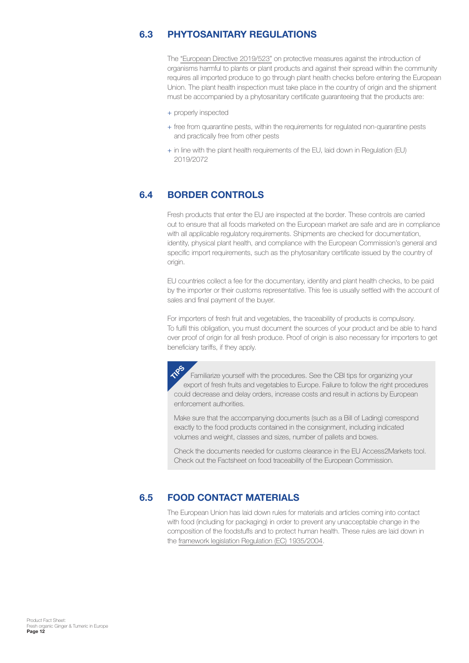#### <span id="page-11-0"></span>**PHYTOSANITARY REGULATIONS 6.3**

The ["European Directive 2019/523"](https://eur-lex.europa.eu/legal-content/EN/TXT/?uri=celex:32019L0523) on protective measures against the introduction of organisms harmful to plants or plant products and against their spread within the community requires all imported produce to go through plant health checks before entering the European Union. The plant health inspection must take place in the country of origin and the shipment must be accompanied by a phytosanitary certificate guaranteeing that the products are:

- + properly inspected
- + free from quarantine pests, within the requirements for regulated non-quarantine pests and practically free from other pests
- + in line with the plant health requirements of the EU, laid down in Regulation (EU) 2019/2072

#### **BORDER CONTROLS 6.4**

Fresh products that enter the EU are inspected at the border. These controls are carried out to ensure that all foods marketed on the European market are safe and are in compliance with all applicable regulatory requirements. Shipments are checked for documentation, identity, physical plant health, and compliance with the European Commission's general and specific import requirements, such as the phytosanitary certificate issued by the country of origin.

EU countries collect a fee for the documentary, identity and plant health checks, to be paid by the importer or their customs representative. This fee is usually settled with the account of sales and final payment of the buyer.

For importers of fresh fruit and vegetables, the traceability of products is compulsory. To fulfil this obligation, you must document the sources of your product and be able to hand over proof of origin for all fresh produce. Proof of origin is also necessary for importers to get beneficiary tariffs, if they apply.

Familiarize yourself with the procedures. See the CBI tips for organizing your export of fresh fruits and vegetables to Europe. Failure to follow the right procedures could decrease and delay orders, increase costs and result in actions by European enforcement authorities. **TPS** 

Make sure that the accompanying documents (such as a Bill of Lading) correspond exactly to the food products contained in the consignment, including indicated volumes and weight, classes and sizes, number of pallets and boxes.

Check the documents needed for customs clearance in the EU Access2Markets tool. Check out the Factsheet on food traceability of the European Commission.

#### **FOOD CONTACT MATERIALS 6.5**

The European Union has laid down rules for materials and articles coming into contact with food (including for packaging) in order to prevent any unacceptable change in the composition of the foodstuffs and to protect human health. These rules are laid down in the [framework legislation Regulation \(EC\) 1935/2004](https://eur-lex.europa.eu/legal-content/EN/TXT/HTML/?uri=CELEX:32004R1935&from=de).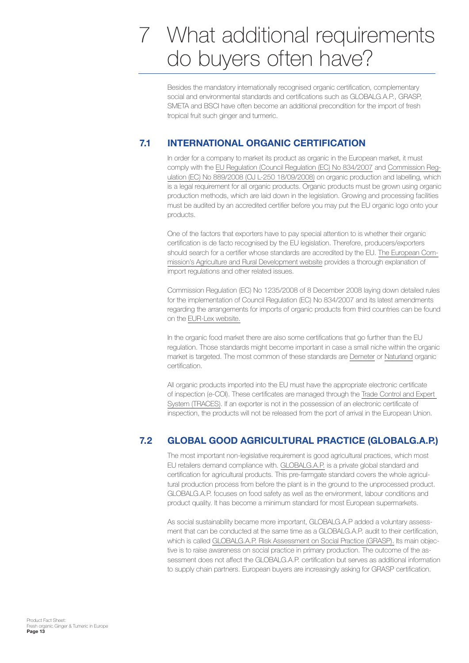# <span id="page-12-0"></span>What additional requirements 7 do buyers often have?

Besides the mandatory internationally recognised organic certification, complementary social and environmental standards and certifications such as GLOBALG.A.P., GRASP, SMETA and BSCI have often become an additional precondition for the import of fresh tropical fruit such ginger and turmeric.

#### **INTERNATIONAL ORGANIC CERTIFICATION 7.1**

In order for a company to market its product as organic in the European market, it must comply with the [EU Regulation \(Council Regulation \(EC\) No 834/2007](https://eur-lex.europa.eu/legal-content/EN/TXT/?uri=celex%3A32007R0834) and [Commission Reg](https://eur-lex.europa.eu/legal-content/EN/ALL/?uri=celex:32008R0889)[ulation \(EC\) No 889/2008 \(OJ L-250 18/09/2008\)](https://eur-lex.europa.eu/legal-content/EN/ALL/?uri=celex:32008R0889) on organic production and labelling, which is a legal requirement for all organic products. Organic products must be grown using organic production methods, which are laid down in the legislation. Growing and processing facilities must be audited by an accredited certifier before you may put the EU organic logo onto your products.

One of the factors that exporters have to pay special attention to is whether their organic certification is de facto recognised by the EU legislation. Therefore, producers/exporters should search for a certifier whose standards are accredited by the EU. [The European Com](https://ec.europa.eu/info/food-farming-fisheries_en)[mission's Agriculture and Rural Development website](https://ec.europa.eu/info/food-farming-fisheries_en) provides a thorough explanation of import regulations and other related issues.

Commission Regulation (EC) No 1235/2008 of 8 December 2008 laying down detailed rules for the implementation of Council Regulation (EC) No 834/2007 and its latest amendments regarding the arrangements for imports of organic products from third countries can be found on the [EUR-Lex website.](https://eur-lex.europa.eu/homepage.html)

In the organic food market there are also some certifications that go further than the EU regulation. Those standards might become important in case a small niche within the organic market is targeted. The most common of these standards are [Demeter](https://www.demeter.net/certification/) or [Naturland](https://www.naturland.de/en/producers/steps-to-naturland-certification.html) organic certification.

All organic products imported into the EU must have the appropriate electronic certificate of inspection (e-COI). These certificates are managed through the [Trade Control and Expert](https://ec.europa.eu/food/animals/traces_en)  [System \(TRACES\)](https://ec.europa.eu/food/animals/traces_en). If an exporter is not in the possession of an electronic certificate of inspection, the products will not be released from the port of arrival in the European Union.

#### **GLOBAL GOOD AGRICULTURAL PRACTICE (GLOBALG.A.P.) 7.2**

The most important non-legislative requirement is good agricultural practices, which most EU retailers demand compliance with. [GLOBALG.A.P.](https://www.globalgap.org/uk_en/index.html) is a private global standard and certification for agricultural products. This pre-farmgate standard covers the whole agricultural production process from before the plant is in the ground to the unprocessed product. GLOBALG.A.P. focuses on food safety as well as the environment, labour conditions and product quality. It has become a minimum standard for most European supermarkets.

As social sustainability became more important, GLOBALG.A.P added a voluntary assessment that can be conducted at the same time as a GLOBALG.A.P. audit to their certification, which is called [GLOBALG.A.P. Risk Assessment on Social Practice \(GRASP\).](https://www.globalgap.org/uk_en/for-producers/globalg.a.p.-add-on/grasp/) Its main objective is to raise awareness on social practice in primary production. The outcome of the assessment does not affect the GLOBALG.A.P. certification but serves as additional information to supply chain partners. European buyers are increasingly asking for GRASP certification.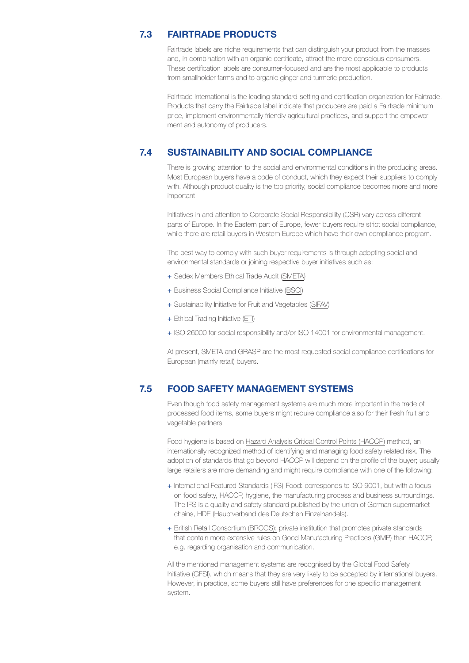#### **FAIRTRADE PRODUCTS 7.3**

Fairtrade labels are niche requirements that can distinguish your product from the masses and, in combination with an organic certificate, attract the more conscious consumers. These certification labels are consumer-focused and are the most applicable to products from smallholder farms and to organic ginger and turmeric production.

[Fairtrade International](https://www.fairtrade.net/about/fairtrade-international) is the leading standard-setting and certification organization for Fairtrade. Products that carry the Fairtrade label indicate that producers are paid a Fairtrade minimum price, implement environmentally friendly agricultural practices, and support the empowerment and autonomy of producers.

#### **SUSTAINABILITY AND SOCIAL COMPLIANCE 7.4**

There is growing attention to the social and environmental conditions in the producing areas. Most European buyers have a code of conduct, which they expect their suppliers to comply with. Although product quality is the top priority, social compliance becomes more and more important.

Initiatives in and attention to Corporate Social Responsibility (CSR) vary across different parts of Europe. In the Eastern part of Europe, fewer buyers require strict social compliance, while there are retail buyers in Western Europe which have their own compliance program.

The best way to comply with such buyer requirements is through adopting social and environmental standards or joining respective buyer initiatives such as:

- + Sedex Members Ethical Trade Audit ([SMETA\)](https://www.sedex.com/our-services/smeta-audit/)
- + Business Social Compliance Initiative ([BSCI\)](https://www.amfori.org/content/amfori-bsci)
- + Sustainability Initiative for Fruit and Vegetables [\(SIFAV](https://www.idhsustainabletrade.com/initiative/sifav2025/))
- + Ethical Trading Initiative [\(ETI](https://www.ethicaltrade.org/))
- + [ISO 26000](https://www.iso.org/iso-26000-social-responsibility.html) for social responsibility and/or [ISO 14001](https://www.iso.org/iso-14001-environmental-management.html) for environmental management.

At present, SMETA and GRASP are the most requested social compliance certifications for European (mainly retail) buyers.

#### **FOOD SAFETY MANAGEMENT SYSTEMS 7.5**

Even though food safety management systems are much more important in the trade of processed food items, some buyers might require compliance also for their fresh fruit and vegetable partners.

Food hygiene is based on [Hazard Analysis Critical Control Points \(HACCP\)](https://www.intracen.org/coffee-guide/quality-control-issues/hazard-analysis-critical-control-points---haccp-what-is-it/) method, an internationally recognized method of identifying and managing food safety related risk. The adoption of standards that go beyond HACCP will depend on the profile of the buyer; usually large retailers are more demanding and might require compliance with one of the following:

- + [International Featured Standards \(IFS\)-](https://www.ifs-certification.com/index.php/en/)Food: corresponds to ISO 9001, but with a focus on food safety, HACCP, hygiene, the manufacturing process and business surroundings. The IFS is a quality and safety standard published by the union of German supermarket chains, HDE (Hauptverband des Deutschen Einzelhandels).
- + [British Retail Consortium \(BRCGS\):](https://www.brcgs.com/) private institution that promotes private standards that contain more extensive rules on Good Manufacturing Practices (GMP) than HACCP, e.g. regarding organisation and communication.

All the mentioned management systems are recognised by the Global Food Safety Initiative (GFSI), which means that they are very likely to be accepted by international buyers. However, in practice, some buyers still have preferences for one specific management system.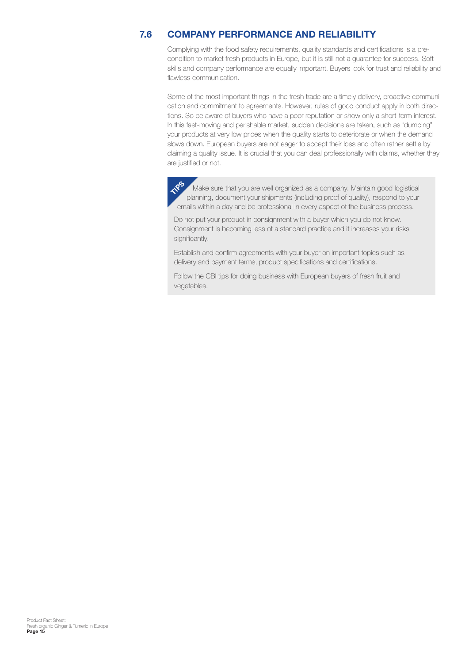#### **COMPANY PERFORMANCE AND RELIABILITY 7.6**

Complying with the food safety requirements, quality standards and certifications is a precondition to market fresh products in Europe, but it is still not a guarantee for success. Soft skills and company performance are equally important. Buyers look for trust and reliability and flawless communication.

Some of the most important things in the fresh trade are a timely delivery, proactive communication and commitment to agreements. However, rules of good conduct apply in both directions. So be aware of buyers who have a poor reputation or show only a short-term interest. In this fast-moving and perishable market, sudden decisions are taken, such as "dumping" your products at very low prices when the quality starts to deteriorate or when the demand slows down. European buyers are not eager to accept their loss and often rather settle by claiming a quality issue. It is crucial that you can deal professionally with claims, whether they are justified or not.

 Make sure that you are well organized as a company. Maintain good logistical planning, document your shipments (including proof of quality), respond to your emails within a day and be professional in every aspect of the business process. **TIPS**

Do not put your product in consignment with a buyer which you do not know. Consignment is becoming less of a standard practice and it increases your risks significantly.

Establish and confirm agreements with your buyer on important topics such as delivery and payment terms, product specifications and certifications.

Follow the CBI tips for doing business with European buyers of fresh fruit and vegetables.